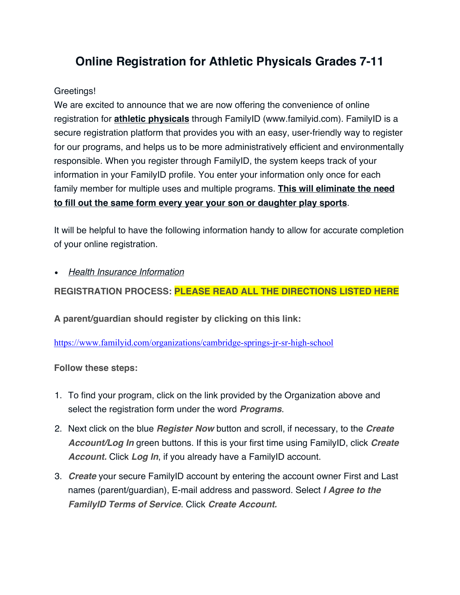## **Online Registration for Athletic Physicals Grades 7-11**

## Greetings!

We are excited to announce that we are now offering the convenience of online registration for **athletic physicals** through FamilyID (www.familyid.com). FamilyID is a secure registration platform that provides you with an easy, user-friendly way to register for our programs, and helps us to be more administratively efficient and environmentally responsible. When you register through FamilyID, the system keeps track of your information in your FamilyID profile. You enter your information only once for each family member for multiple uses and multiple programs. **This will eliminate the need to fill out the same form every year your son or daughter play sports**.

It will be helpful to have the following information handy to allow for accurate completion of your online registration.

• *Health Insurance Information*

**REGISTRATION PROCESS: PLEASE READ ALL THE DIRECTIONS LISTED HERE**

**A parent/guardian should register by clicking on this link:**

https://www.familyid.com/organizations/cambridge-springs-jr-sr-high-school

**Follow these steps:**

- 1. To find your program, click on the link provided by the Organization above and select the registration form under the word *Programs*.
- 2. Next click on the blue *Register Now* button and scroll, if necessary, to the *Create Account/Log In* green buttons. If this is your first time using FamilyID, click *Create Account.* Click *Log In*, if you already have a FamilyID account.
- 3. *Create* your secure FamilyID account by entering the account owner First and Last names (parent/guardian), E-mail address and password. Select *I Agree to the FamilyID Terms of Service*. Click *Create Account.*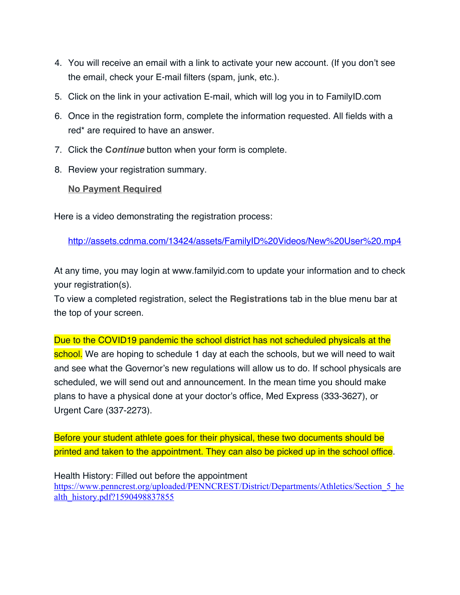- 4. You will receive an email with a link to activate your new account. (If you don't see the email, check your E-mail filters (spam, junk, etc.).
- 5. Click on the link in your activation E-mail, which will log you in to FamilyID.com
- 6. Once in the registration form, complete the information requested. All fields with a red\* are required to have an answer.
- 7. Click the **C***ontinue* button when your form is complete.
- 8. Review your registration summary.

## **No Payment Required**

Here is a video demonstrating the registration process:

http://assets.cdnma.com/13424/assets/FamilyID%20Videos/New%20User%20.mp4

At any time, you may login at www.familyid.com to update your information and to check your registration(s).

To view a completed registration, select the **Registrations** tab in the blue menu bar at the top of your screen.

Due to the COVID19 pandemic the school district has not scheduled physicals at the school. We are hoping to schedule 1 day at each the schools, but we will need to wait and see what the Governor's new regulations will allow us to do. If school physicals are scheduled, we will send out and announcement. In the mean time you should make plans to have a physical done at your doctor's office, Med Express (333-3627), or Urgent Care (337-2273).

Before your student athlete goes for their physical, these two documents should be printed and taken to the appointment. They can also be picked up in the school office.

Health History: Filled out before the appointment https://www.penncrest.org/uploaded/PENNCREST/District/Departments/Athletics/Section 5 he alth\_history.pdf?1590498837855